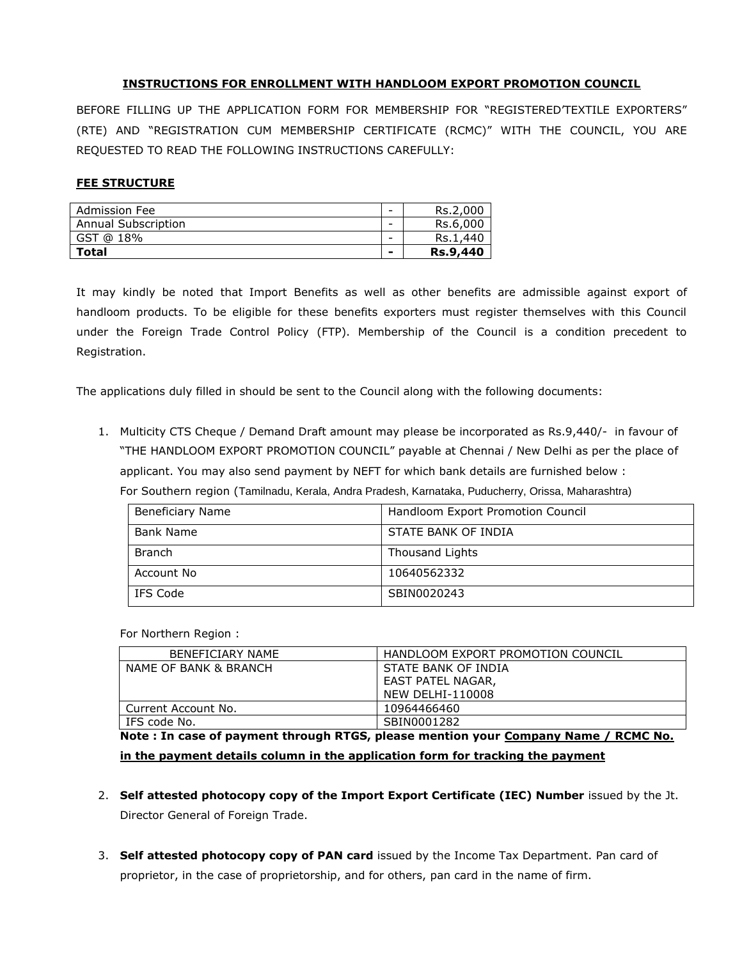#### **INSTRUCTIONS FOR ENROLLMENT WITH HANDLOOM EXPORT PROMOTION COUNCIL**

BEFORE FILLING UP THE APPLICATION FORM FOR MEMBERSHIP FOR "REGISTERED'TEXTILE EXPORTERS" (RTE) AND "REGISTRATION CUM MEMBERSHIP CERTIFICATE (RCMC)" WITH THE COUNCIL, YOU ARE REQUESTED TO READ THE FOLLOWING INSTRUCTIONS CAREFULLY:

#### **FEE STRUCTURE**

| <b>Admission Fee</b>       | $\overline{\phantom{0}}$ | Rs.2,000        |
|----------------------------|--------------------------|-----------------|
| <b>Annual Subscription</b> | -                        | Rs.6,000        |
| GST @ 18%                  | -                        | Rs.1,440        |
| <b>Total</b>               | -                        | <b>Rs.9,440</b> |

It may kindly be noted that Import Benefits as well as other benefits are admissible against export of handloom products. To be eligible for these benefits exporters must register themselves with this Council under the Foreign Trade Control Policy (FTP). Membership of the Council is a condition precedent to Registration.

The applications duly filled in should be sent to the Council along with the following documents:

1. Multicity CTS Cheque / Demand Draft amount may please be incorporated as Rs.9,440/- in favour of "THE HANDLOOM EXPORT PROMOTION COUNCIL" payable at Chennai / New Delhi as per the place of applicant. You may also send payment by NEFT for which bank details are furnished below : For Southern region (Tamilnadu, Kerala, Andra Pradesh, Karnataka, Puducherry, Orissa, Maharashtra)

| <b>Beneficiary Name</b> | Handloom Export Promotion Council |
|-------------------------|-----------------------------------|
| Bank Name               | STATE BANK OF INDIA               |
| <b>Branch</b>           | Thousand Lights                   |
| Account No              | 10640562332                       |
| IFS Code                | SBIN0020243                       |

For Northern Region :

| <b>BENEFICIARY NAME</b> | HANDLOOM EXPORT PROMOTION COUNCIL |
|-------------------------|-----------------------------------|
| NAME OF BANK & BRANCH   | STATE BANK OF INDIA               |
|                         | EAST PATEL NAGAR,                 |
|                         | <b>NEW DELHI-110008</b>           |
| Current Account No.     | 10964466460                       |
| IFS code No.            | SBIN0001282                       |

**Note : In case of payment through RTGS, please mention your Company Name / RCMC No. in the payment details column in the application form for tracking the payment**

- 2. **Self attested photocopy copy of the Import Export Certificate (IEC) Number** issued by the Jt. Director General of Foreign Trade.
- 3. **Self attested photocopy copy of PAN card** issued by the Income Tax Department. Pan card of proprietor, in the case of proprietorship, and for others, pan card in the name of firm.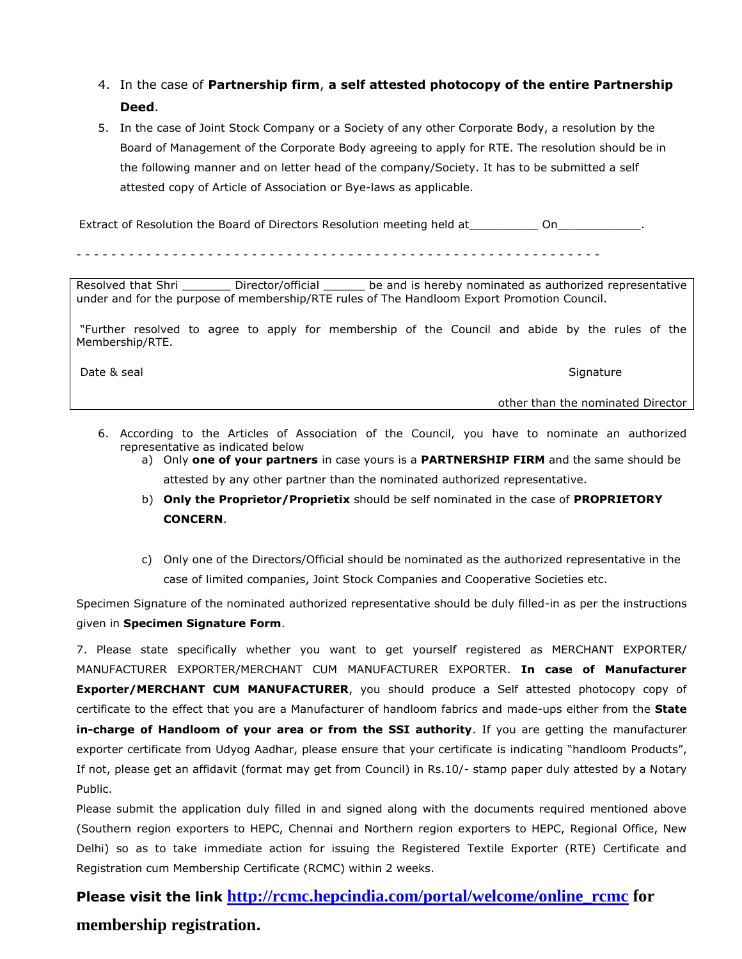- 4. In the case of **Partnership firm**, **a self attested photocopy of the entire Partnership Deed**.
- 5. In the case of Joint Stock Company or a Society of any other Corporate Body, a resolution by the Board of Management of the Corporate Body agreeing to apply for RTE. The resolution should be in the following manner and on letter head of the company/Society. It has to be submitted a self attested copy of Article of Association or Bye-laws as applicable.

Extract of Resolution the Board of Directors Resolution meeting held at\_\_\_\_\_\_\_\_\_\_\_\_\_ On\_

- - - - - - - - - - - - - - - - - - - - - - - - - - - - - - - - - - - - - - - - - - - - - - - - - - - - - - - - - - - -

Resolved that Shri \_\_\_\_\_\_\_\_ Director/official \_\_\_\_\_\_ be and is hereby nominated as authorized representative under and for the purpose of membership/RTE rules of The Handloom Export Promotion Council.

"Further resolved to agree to apply for membership of the Council and abide by the rules of the Membership/RTE.

Date & seal Signature

other than the nominated Director

- 6. According to the Articles of Association of the Council, you have to nominate an authorized representative as indicated below
	- a) Only **one of your partners** in case yours is a **PARTNERSHIP FIRM** and the same should be attested by any other partner than the nominated authorized representative.
	- b) **Only the Proprietor/Proprietix** should be self nominated in the case of **PROPRIETORY CONCERN**.
	- c) Only one of the Directors/Official should be nominated as the authorized representative in the case of limited companies, Joint Stock Companies and Cooperative Societies etc.

Specimen Signature of the nominated authorized representative should be duly filled-in as per the instructions given in **Specimen Signature Form**.

7. Please state specifically whether you want to get yourself registered as MERCHANT EXPORTER/ MANUFACTURER EXPORTER/MERCHANT CUM MANUFACTURER EXPORTER. **In case of Manufacturer Exporter/MERCHANT CUM MANUFACTURER**, you should produce a Self attested photocopy copy of certificate to the effect that you are a Manufacturer of handloom fabrics and made-ups either from the **State in-charge of Handloom of your area or from the SSI authority**. If you are getting the manufacturer exporter certificate from Udyog Aadhar, please ensure that your certificate is indicating "handloom Products", If not, please get an affidavit (format may get from Council) in Rs.10/- stamp paper duly attested by a Notary Public.

Please submit the application duly filled in and signed along with the documents required mentioned above (Southern region exporters to HEPC, Chennai and Northern region exporters to HEPC, Regional Office, New Delhi) so as to take immediate action for issuing the Registered Textile Exporter (RTE) Certificate and Registration cum Membership Certificate (RCMC) within 2 weeks.

**Please visit the link [http://rcmc.hepcindia.com/portal/welcome/online\\_rcmc](http://rcmc.hepcindia.com/portal/welcome/online_rcmc) for membership registration.**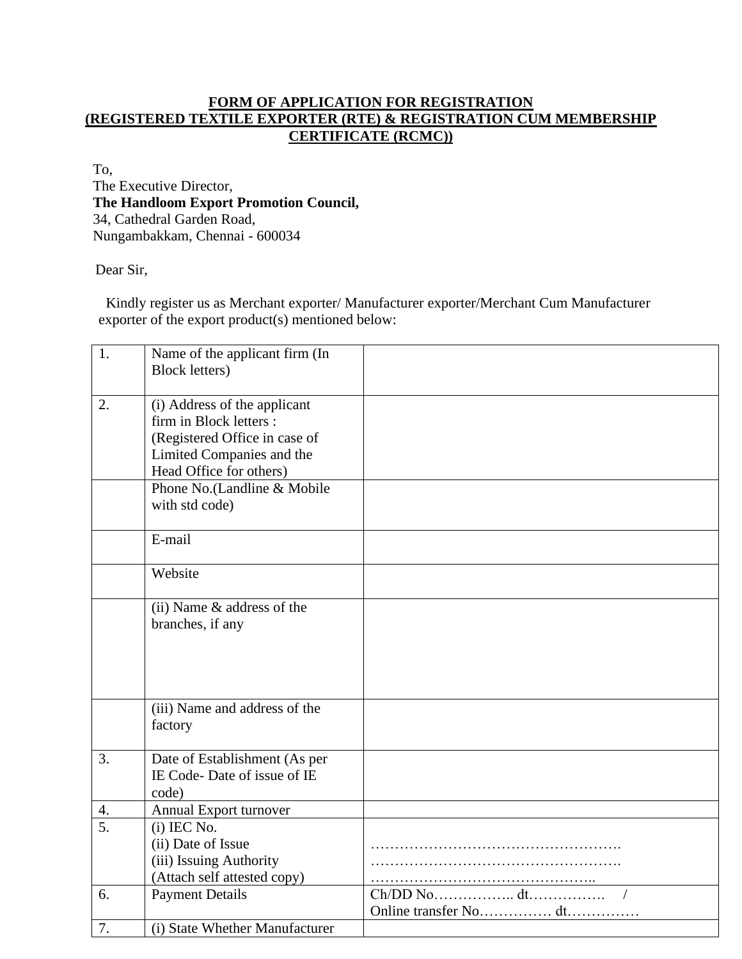# **FORM OF APPLICATION FOR REGISTRATION (REGISTERED TEXTILE EXPORTER (RTE) & REGISTRATION CUM MEMBERSHIP CERTIFICATE (RCMC))**

To, The Executive Director, **The Handloom Export Promotion Council,**  34, Cathedral Garden Road, Nungambakkam, Chennai - 600034

Dear Sir,

 Kindly register us as Merchant exporter/ Manufacturer exporter/Merchant Cum Manufacturer exporter of the export product(s) mentioned below:

| 1.               | Name of the applicant firm (In                 |                       |
|------------------|------------------------------------------------|-----------------------|
|                  | <b>Block letters</b> )                         |                       |
| 2.               | (i) Address of the applicant                   |                       |
|                  | firm in Block letters :                        |                       |
|                  | (Registered Office in case of                  |                       |
|                  | Limited Companies and the                      |                       |
|                  | Head Office for others)                        |                       |
|                  | Phone No.(Landline & Mobile                    |                       |
|                  | with std code)                                 |                       |
|                  | E-mail                                         |                       |
|                  |                                                |                       |
|                  | Website                                        |                       |
|                  |                                                |                       |
|                  | (ii) Name & address of the<br>branches, if any |                       |
|                  |                                                |                       |
|                  |                                                |                       |
|                  |                                                |                       |
|                  |                                                |                       |
|                  | (iii) Name and address of the                  |                       |
|                  | factory                                        |                       |
|                  |                                                |                       |
| 3.               | Date of Establishment (As per                  |                       |
|                  | IE Code-Date of issue of IE                    |                       |
|                  | code)                                          |                       |
| 4.               | Annual Export turnover                         |                       |
| $\overline{5}$ . | $(i)$ IEC No.                                  |                       |
|                  | (ii) Date of Issue                             |                       |
|                  | (iii) Issuing Authority                        |                       |
|                  | (Attach self attested copy)                    |                       |
| 6.               | <b>Payment Details</b>                         |                       |
|                  |                                                | Online transfer No dt |
| 7.               | (i) State Whether Manufacturer                 |                       |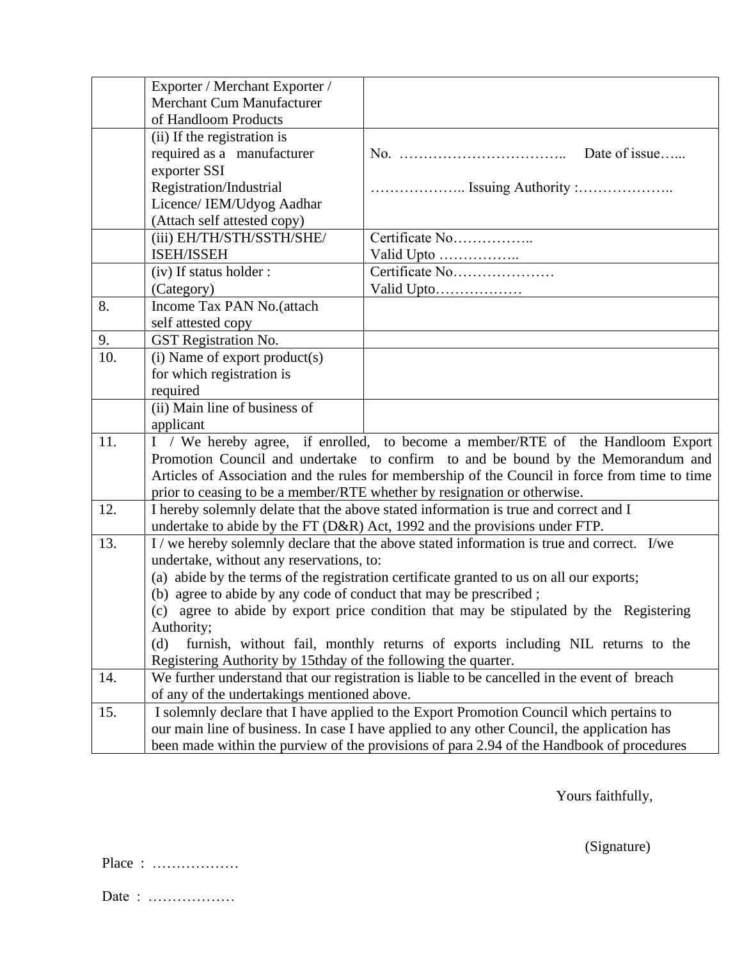|     | Exporter / Merchant Exporter /                                                           |                                                                                                |
|-----|------------------------------------------------------------------------------------------|------------------------------------------------------------------------------------------------|
|     | Merchant Cum Manufacturer                                                                |                                                                                                |
|     | of Handloom Products                                                                     |                                                                                                |
|     | (ii) If the registration is                                                              |                                                                                                |
|     | required as a manufacturer                                                               | Date of issue                                                                                  |
|     | exporter SSI                                                                             |                                                                                                |
|     | Registration/Industrial                                                                  |                                                                                                |
|     | Licence/ IEM/Udyog Aadhar                                                                |                                                                                                |
|     | (Attach self attested copy)                                                              |                                                                                                |
|     | (iii) EH/TH/STH/SSTH/SHE/                                                                | Certificate No                                                                                 |
|     | ISEH/ISSEH                                                                               |                                                                                                |
|     | (iv) If status holder :                                                                  | Certificate No                                                                                 |
|     | (Category)                                                                               |                                                                                                |
| 8.  | Income Tax PAN No.(attach                                                                |                                                                                                |
|     | self attested copy                                                                       |                                                                                                |
| 9.  | <b>GST</b> Registration No.                                                              |                                                                                                |
| 10. | (i) Name of export product(s)                                                            |                                                                                                |
|     | for which registration is                                                                |                                                                                                |
|     | required                                                                                 |                                                                                                |
|     | (ii) Main line of business of                                                            |                                                                                                |
|     | applicant                                                                                |                                                                                                |
| 11. |                                                                                          | I / We hereby agree, if enrolled, to become a member/RTE of the Handloom Export                |
|     |                                                                                          | Promotion Council and undertake to confirm to and be bound by the Memorandum and               |
|     |                                                                                          | Articles of Association and the rules for membership of the Council in force from time to time |
|     |                                                                                          | prior to ceasing to be a member/RTE whether by resignation or otherwise.                       |
| 12. |                                                                                          | I hereby solemnly delate that the above stated information is true and correct and I           |
|     |                                                                                          | undertake to abide by the FT (D&R) Act, 1992 and the provisions under FTP.                     |
| 13. |                                                                                          | I/we hereby solemnly declare that the above stated information is true and correct. I/we       |
|     | undertake, without any reservations, to:                                                 |                                                                                                |
|     | (a) abide by the terms of the registration certificate granted to us on all our exports; |                                                                                                |
|     | (b) agree to abide by any code of conduct that may be prescribed;                        |                                                                                                |
|     | (c) agree to abide by export price condition that may be stipulated by the Registering   |                                                                                                |
|     | Authority;                                                                               |                                                                                                |
|     | (d)                                                                                      | furnish, without fail, monthly returns of exports including NIL returns to the                 |
|     | Registering Authority by 15thday of the following the quarter.                           |                                                                                                |
| 14. |                                                                                          | We further understand that our registration is liable to be cancelled in the event of breach   |
|     | of any of the undertakings mentioned above.                                              |                                                                                                |
| 15. |                                                                                          | I solemnly declare that I have applied to the Export Promotion Council which pertains to       |
|     |                                                                                          | our main line of business. In case I have applied to any other Council, the application has    |
|     |                                                                                          | been made within the purview of the provisions of para 2.94 of the Handbook of procedures      |

Yours faithfully,

(Signature)

Place : ………………

Date : ………………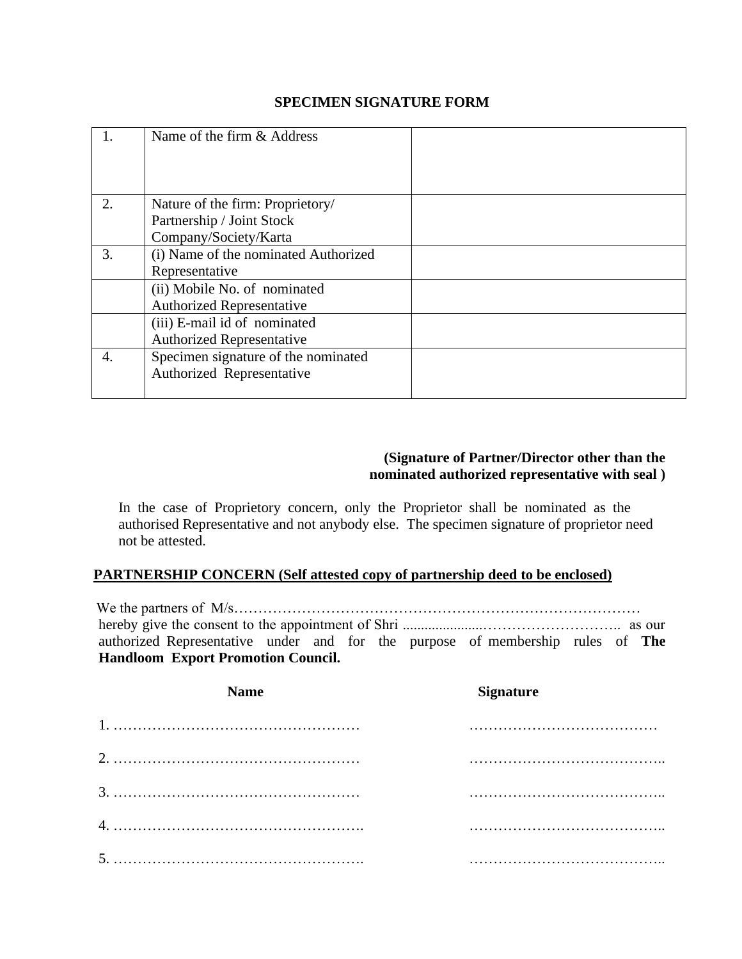#### **SPECIMEN SIGNATURE FORM**

|    | Name of the firm & Address           |  |
|----|--------------------------------------|--|
|    |                                      |  |
| 2. | Nature of the firm: Proprietory/     |  |
|    | Partnership / Joint Stock            |  |
|    | Company/Society/Karta                |  |
| 3. | (i) Name of the nominated Authorized |  |
|    | Representative                       |  |
|    | (ii) Mobile No. of nominated         |  |
|    | <b>Authorized Representative</b>     |  |
|    | (iii) E-mail id of nominated         |  |
|    | <b>Authorized Representative</b>     |  |
| 4. | Specimen signature of the nominated  |  |
|    | Authorized Representative            |  |
|    |                                      |  |

## **(Signature of Partner/Director other than the nominated authorized representative with seal )**

In the case of Proprietory concern, only the Proprietor shall be nominated as the authorised Representative and not anybody else. The specimen signature of proprietor need not be attested.

## **PARTNERSHIP CONCERN (Self attested copy of partnership deed to be enclosed)**

We the partners of M/s………………………………………………………………………… hereby give the consent to the appointment of Shri ......................……………………….. as our authorized Representative under and for the purpose of membership rules of **The Handloom Export Promotion Council.** 

| <b>Name</b> | <b>Signature</b> |
|-------------|------------------|
|             |                  |
|             |                  |
|             |                  |
|             |                  |
|             |                  |